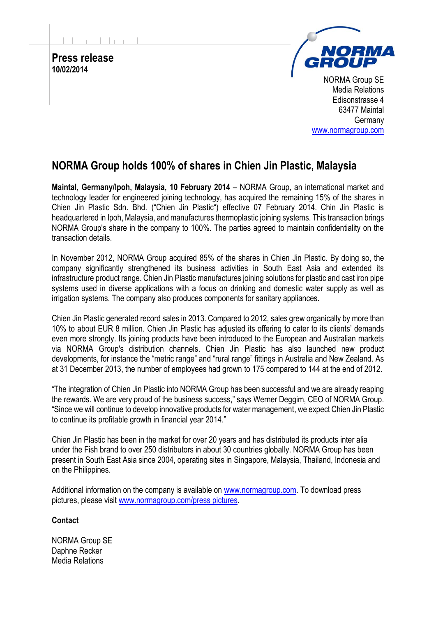**Press release 10/02/2014**



NORMA Group SE Media Relations Edisonstrasse 4 63477 Maintal **Germany** [www.normagroup.com](http://www.normagroup.com/)

## **NORMA Group holds 100% of shares in Chien Jin Plastic, Malaysia**

**Maintal, Germany/Ipoh, Malaysia, 10 February 2014** – NORMA Group, an international market and technology leader for engineered joining technology, has acquired the remaining 15% of the shares in Chien Jin Plastic Sdn. Bhd. ("Chien Jin Plastic") effective 07 February 2014. Chin Jin Plastic is headquartered in Ipoh, Malaysia, and manufactures thermoplastic joining systems. This transaction brings NORMA Group's share in the company to 100%. The parties agreed to maintain confidentiality on the transaction details.

In November 2012, NORMA Group acquired 85% of the shares in Chien Jin Plastic. By doing so, the company significantly strengthened its business activities in South East Asia and extended its infrastructure product range. Chien Jin Plastic manufactures joining solutions for plastic and cast iron pipe systems used in diverse applications with a focus on drinking and domestic water supply as well as irrigation systems. The company also produces components for sanitary appliances.

Chien Jin Plastic generated record sales in 2013. Compared to 2012, sales grew organically by more than 10% to about EUR 8 million. Chien Jin Plastic has adjusted its offering to cater to its clients' demands even more strongly. Its joining products have been introduced to the European and Australian markets via NORMA Group's distribution channels. Chien Jin Plastic has also launched new product developments, for instance the "metric range" and "rural range" fittings in Australia and New Zealand. As at 31 December 2013, the number of employees had grown to 175 compared to 144 at the end of 2012.

"The integration of Chien Jin Plastic into NORMA Group has been successful and we are already reaping the rewards. We are very proud of the business success," says Werner Deggim, CEO of NORMA Group. "Since we will continue to develop innovative products for water management, we expect Chien Jin Plastic to continue its profitable growth in financial year 2014."

Chien Jin Plastic has been in the market for over 20 years and has distributed its products inter alia under the Fish brand to over 250 distributors in about 30 countries globally. NORMA Group has been present in South East Asia since 2004, operating sites in Singapore, Malaysia, Thailand, Indonesia and on the Philippines.

Additional information on the company is available on [www.normagroup.com.](http://www.normagroup.com/) To download press pictures, please visit [www.normagroup.com/press pictures.](http://www.normagroup.com/norma.nsf/id/PR-Imagery_EN)

## **Contact**

NORMA Group SE Daphne Recker Media Relations